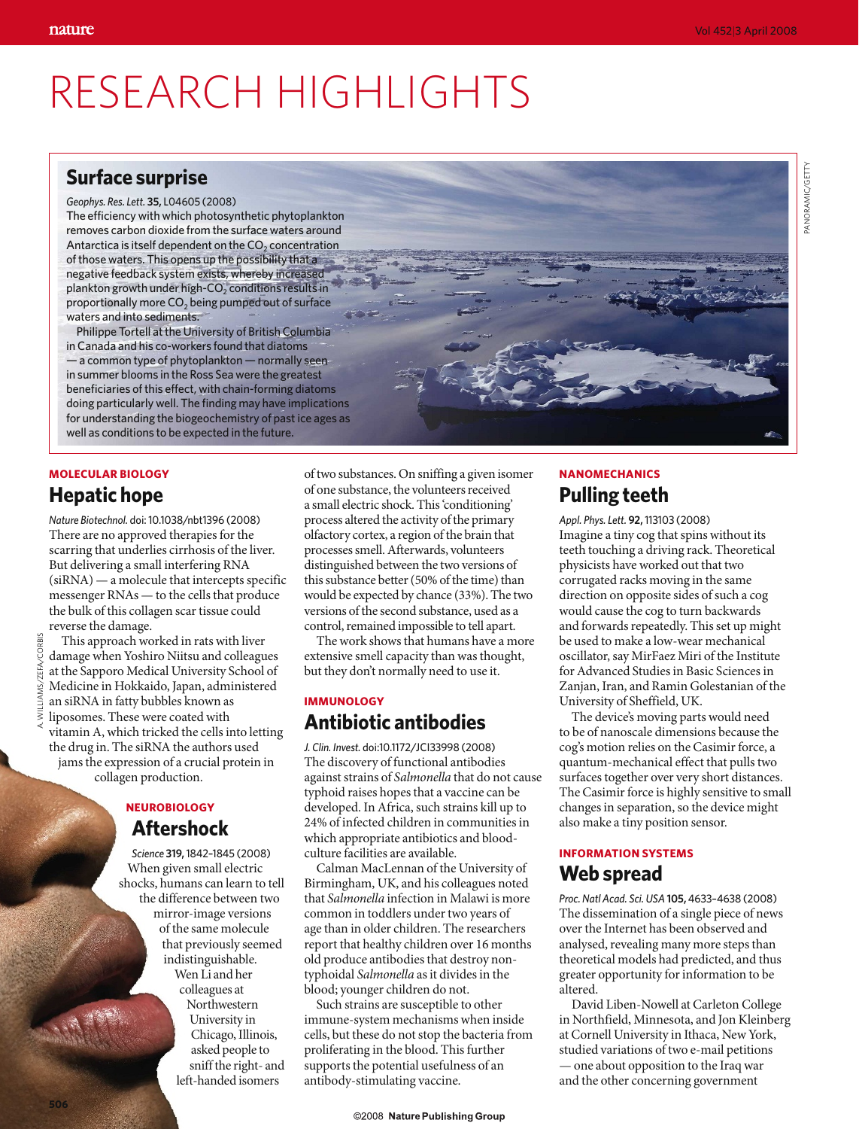# RESEARCH HIGHLIGHTS

## **Surface surprise**

*Geophys. Res. Lett.* **35,** L04605 (2008) The efficiency with which photosynthetic phytoplankton removes carbon dioxide from the surface waters around Antarctica is itself dependent on the  $CO<sub>2</sub>$  concentration of those waters. This opens up the possibility that a negative feedback system exists, whereby increased plankton growth under high- $CO<sub>2</sub>$  conditions results in proportionally more  $CO<sub>2</sub>$  being pumped out of surface waters and into sediments.

Philippe Tortell at the University of British Columbia in Canada and his co-workers found that diatoms — a common type of phytoplankton — normally seen in summer blooms in the Ross Sea were the greatest beneficiaries of this effect, with chain-forming diatoms doing particularly well. The finding may have implications for understanding the biogeochemistry of past ice ages as well as conditions to be expected in the future.

## **MOLECULAR BIOLOGY Hepatic hope**

*Nature Biotechnol.* doi: 10.1038/nbt1396 (2008) There are no approved therapies for the scarring that underlies cirrhosis of the liver. But delivering a small interfering RNA (siRNA) — a molecule that intercepts specific messenger RNAs — to the cells that produce the bulk of this collagen scar tissue could reverse the damage.

This approach worked in rats with liver damage when Yoshiro Niitsu and colleagues at the Sapporo Medical University School of Medicine in Hokkaido, Japan, administered an siRNA in fatty bubbles known as liposomes. These were coated with vitamin A, which tricked the cells into letting the drug in. The siRNA the authors used jams the expression of a crucial protein in collagen production.

## **NEUROBIOLOGY Aftershock**

*Science* **319,** 1842–1845 (2008) When given small electric shocks, humans can learn to tell the difference between two mirror-image versions of the same molecule that previously seemed indistinguishable. Wen Li and her colleagues at Northwestern University in Chicago, Illinois, asked people to sniff the right- and left-handed isomers

of two substances. On sniffing a given isomer of one substance, the volunteers received a small electric shock. This 'conditioning' process altered the activity of the primary olfactory cortex, a region of the brain that processes smell. Afterwards, volunteers distinguished between the two versions of this substance better (50% of the time) than would be expected by chance (33%). The two versions of the second substance, used as a control, remained impossible to tell apart.

The work shows that humans have a more extensive smell capacity than was thought, but they don't normally need to use it.

## **IMMUNOLOGY Antibiotic antibodies**

*J. Clin. Invest.* doi:10.1172/JCI33998 (2008) The discovery of functional antibodies against strains of *Salmonella* that do not cause typhoid raises hopes that a vaccine can be developed. In Africa, such strains kill up to 24% of infected children in communities in which appropriate antibiotics and bloodculture facilities are available.

Calman MacLennan of the University of Birmingham, UK, and his colleagues noted that *Salmonella* infection in Malawi is more common in toddlers under two years of age than in older children. The researchers report that healthy children over 16 months old produce antibodies that destroy nontyphoidal *Salmonella* as it divides in the blood; younger children do not.

Such strains are susceptible to other immune-system mechanisms when inside cells, but these do not stop the bacteria from proliferating in the blood. This further supports the potential usefulness of an antibody-stimulating vaccine.

## **NANOMECHANICS Pulling teeth**

*Appl. Phys. Lett.* **92,** 113103 (2008) Imagine a tiny cog that spins without its teeth touching a driving rack. Theoretical physicists have worked out that two corrugated racks moving in the same direction on opposite sides of such a cog would cause the cog to turn backwards and forwards repeatedly. This set up might be used to make a low-wear mechanical oscillator, say MirFaez Miri of the Institute for Advanced Studies in Basic Sciences in Zanjan, Iran, and Ramin Golestanian of the University of Sheffield, UK.

The device's moving parts would need to be of nanoscale dimensions because the cog's motion relies on the Casimir force, a quantum-mechanical effect that pulls two surfaces together over very short distances. The Casimir force is highly sensitive to small changes in separation, so the device might also make a tiny position sensor.

## **INFORMATION SYSTEMS Web spread**

*Proc. Natl Acad. Sci. USA* **105,** 4633–4638 (2008) The dissemination of a single piece of news over the Internet has been observed and analysed, revealing many more steps than theoretical models had predicted, and thus greater opportunity for information to be altered.

David Liben-Nowell at Carleton College in Northfield, Minnesota, and Jon Kleinberg at Cornell University in Ithaca, New York, studied variations of two e-mail petitions — one about opposition to the Iraq war and the other concerning government

**506**